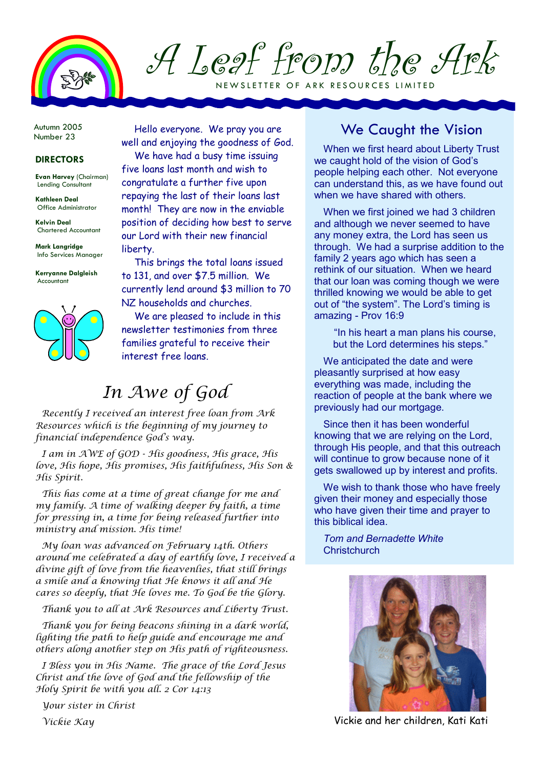

A Leaf from the Ark NEWSLETTER OF ARK RESOURCES LIMITED

Autumn 2005 Number 23

## DIRECTORS

Evan Harvey (Chairman) Lending Consultant

Kathleen Deal Office Administrator

Kelvin Deal Chartered Accountant

Mark Langridge Info Services Manager

Kerryanne Dalgleish Accountant



Hello everyone. We pray you are well and enjoying the goodness of God. We have had a busy time issuing five loans last month and wish to congratulate a further five upon repaying the last of their loans last month! They are now in the enviable position of deciding how best to serve our Lord with their new financial liberty.

This brings the total loans issued to 131, and over \$7.5 million. We currently lend around \$3 million to 70 NZ households and churches.

We are pleased to include in this newsletter testimonies from three families grateful to receive their interest free loans.

## In Awe of God

Recently I received an interest free loan from Ark Resources which is the beginning of my journey to financial independence God's way.

I am in AWE of GOD - His goodness, His grace, His love, His hope, His promises, His faithfulness, His Son & His Spirit.

This has come at a time of great change for me and my family. A time of walking deeper by faith, a time for pressing in, a time for being released further into ministry and mission. His time!

My loan was advanced on February 14th. Others around me celebrated a day of earthly love, I received a divine gift of love from the heavenlies, that still brings a smile and a knowing that He knows it all and He cares so deeply, that He loves me. To God be the Glory.

Thank you to all at Ark Resources and Liberty Trust.

Thank you for being beacons shining in a dark world, lighting the path to help guide and encourage me and others along another step on His path of righteousness.

I Bless you in His Name. The grace of the Lord Jesus Christ and the love of God and the fellowship of the Holy Spirit be with you all. 2 Cor 14:13

Your sister in Christ

Vickie Kay

## We Caught the Vision

When we first heard about Liberty Trust we caught hold of the vision of God's people helping each other. Not everyone can understand this, as we have found out when we have shared with others.

When we first joined we had 3 children and although we never seemed to have any money extra, the Lord has seen us through. We had a surprise addition to the family 2 years ago which has seen a rethink of our situation. When we heard that our loan was coming though we were thrilled knowing we would be able to get out of "the system". The Lord's timing is amazing - Prov 16:9

"In his heart a man plans his course, but the Lord determines his steps."

We anticipated the date and were pleasantly surprised at how easy everything was made, including the reaction of people at the bank where we previously had our mortgage.

Since then it has been wonderful knowing that we are relying on the Lord, through His people, and that this outreach will continue to grow because none of it gets swallowed up by interest and profits.

We wish to thank those who have freely given their money and especially those who have given their time and prayer to this biblical idea.

Tom and Bernadette White **Christchurch** 



Vickie and her children, Kati Kati